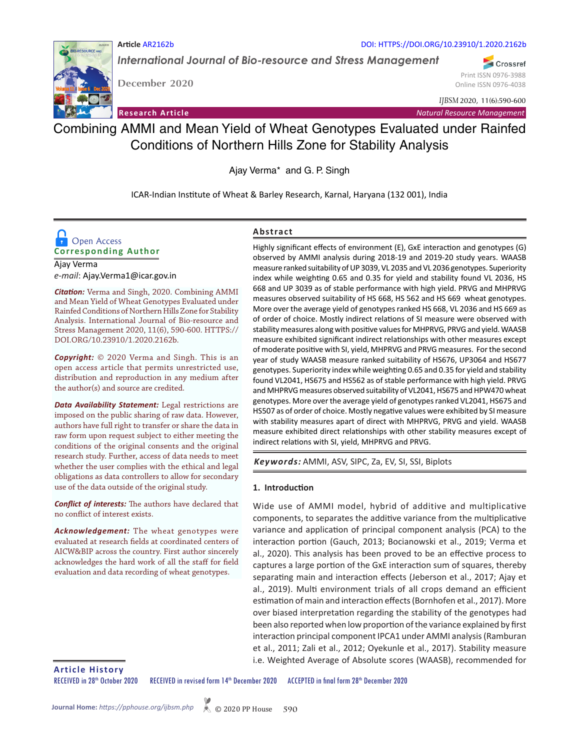

*International Journal of Bio-resource and Stress Management* DOI: HTTPS://DOI.ORG/10.23910/1.2020.2162b

**December 2020**

**Article** AR2162b

Crossref

Print ISSN 0976-3988 Online ISSN 0976-4038

*IJBSM* 2020, 11(6):590-600

**Research Article** *Natural Resource Management*

# Combining AMMI and Mean Yield of Wheat Genotypes Evaluated under Rainfed Conditions of Northern Hills Zone for Stability Analysis

Ajay Verma\* and G. P. Singh

ICAR-Indian Institute of Wheat & Barley Research, Karnal, Haryana (132 001), India

## **Corresponding Author D** Open Access

Ajay Verma *e-mail*: Ajay.Verma1@icar.gov.in

*Citation:* Verma and Singh, 2020. Combining AMMI and Mean Yield of Wheat Genotypes Evaluated under Rainfed Conditions of Northern Hills Zone for Stability Analysis. International Journal of Bio-resource and Stress Management 2020, 11(6), 590-600. HTTPS:// DOI.ORG/10.23910/1.2020.2162b.

*Copyright:* © 2020 Verma and Singh. This is an open access article that permits unrestricted use, distribution and reproduction in any medium after the author(s) and source are credited.

*Data Availability Statement:* Legal restrictions are imposed on the public sharing of raw data. However, authors have full right to transfer or share the data in raw form upon request subject to either meeting the conditions of the original consents and the original research study. Further, access of data needs to meet whether the user complies with the ethical and legal obligations as data controllers to allow for secondary use of the data outside of the original study.

*Conflict of interests:* The authors have declared that no conflict of interest exists.

*Acknowledgement:* The wheat genotypes were evaluated at research fields at coordinated centers of AICW&BIP across the country. First author sincerely acknowledges the hard work of all the staff for field evaluation and data recording of wheat genotypes.

## **Abstract**

Highly significant effects of environment (E), GxE interaction and genotypes (G) observed by AMMI analysis during 2018-19 and 2019-20 study years. WAASB measure ranked suitability of UP 3039, VL 2035 and VL 2036 genotypes. Superiority index while weighting 0.65 and 0.35 for yield and stability found VL 2036, HS 668 and UP 3039 as of stable performance with high yield. PRVG and MHPRVG measures observed suitability of HS 668, HS 562 and HS 669 wheat genotypes. More over the average yield of genotypes ranked HS 668, VL 2036 and HS 669 as of order of choice. Mostly indirect relations of SI measure were observed with stability measures along with positive values for MHPRVG, PRVG and yield. WAASB measure exhibited significant indirect relationships with other measures except of moderate positive with SI, yield, MHPRVG and PRVG measures. For the second year of study WAASB measure ranked suitability of HS676, UP3064 and HS677 genotypes. Superiority index while weighting 0.65 and 0.35 for yield and stability found VL2041, HS675 and HS562 as of stable performance with high yield. PRVG and MHPRVG measures observed suitability of VL2041, HS675 and HPW470 wheat genotypes. More over the average yield of genotypes ranked VL2041, HS675 and HS507 as of order of choice. Mostly negative values were exhibited by SI measure with stability measures apart of direct with MHPRVG, PRVG and yield. WAASB measure exhibited direct relationships with other stability measures except of indirect relations with SI, yield, MHPRVG and PRVG.

*Keywords:* AMMI, ASV, SIPC, Za, EV, SI, SSI, Biplots

## **1. Introduction**

Wide use of AMMI model, hybrid of additive and multiplicative components, to separates the additive variance from the multiplicative variance and application of principal component analysis (PCA) to the interaction portion (Gauch, 2013; Bocianowski et al., 2019; Verma et al., 2020). This analysis has been proved to be an effective process to captures a large portion of the GxE interaction sum of squares, thereby separating main and interaction effects (Jeberson et al., 2017; Ajay et al., 2019). Multi environment trials of all crops demand an efficient estimation of main and interaction effects (Bornhofen et al., 2017). More over biased interpretation regarding the stability of the genotypes had been also reported when low proportion of the variance explained by first interaction principal component IPCA1 under AMMI analysis (Ramburan et al., 2011; Zali et al., 2012; Oyekunle et al., 2017). Stability measure i.e. Weighted Average of Absolute scores (WAASB), recommended for

**Article History**

RECEIVED in 28<sup>th</sup> October 2020 RECEIVED in revised form 14<sup>th</sup> December 2020 ACCEPTED in final form 28<sup>th</sup> December 2020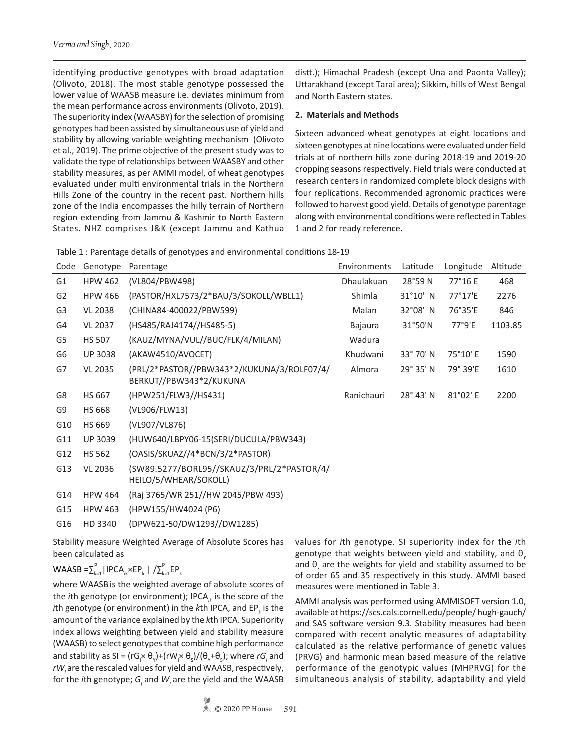identifying productive genotypes with broad adaptation (Olivoto, 2018). The most stable genotype possessed the lower value of WAASB measure i.e. deviates minimum from the mean performance across environments (Olivoto, 2019). The superiority index (WAASBY) for the selection of promising genotypes had been assisted by simultaneous use of yield and stability by allowing variable weighting mechanism (Olivoto et al., 2019). The prime objective of the present study was to validate the type of relationships between WAASBY and other stability measures, as per AMMI model, of wheat genotypes evaluated under multi environmental trials in the Northern Hills Zone of the country in the recent past. Northern hills zone of the India encompasses the hilly terrain of Northern region extending from Jammu & Kashmir to North Eastern States. NHZ comprises J&K (except Jammu and Kathua

distt.); Himachal Pradesh (except Una and Paonta Valley); Uttarakhand (except Tarai area); Sikkim, hills of West Bengal and North Eastern states.

## **2. Materials and Methods**

Sixteen advanced wheat genotypes at eight locations and sixteen genotypes at nine locations were evaluated under field trials at of northern hills zone during 2018-19 and 2019-20 cropping seasons respectively. Field trials were conducted at research centers in randomized complete block designs with four replications. Recommended agronomic practices were followed to harvest good yield. Details of genotype parentage along with environmental conditions were reflected in Tables 1 and 2 for ready reference.

|                |                | Table 1 : Parentage details of genotypes and environmental conditions 18-19 |              |                    |           |          |
|----------------|----------------|-----------------------------------------------------------------------------|--------------|--------------------|-----------|----------|
| Code           | Genotype       | Parentage                                                                   | Environments | Latitude           | Longitude | Altitude |
| G <sub>1</sub> | <b>HPW 462</b> | (VL804/PBW498)                                                              | Dhaulakuan   | 28°59N             | 77°16 E   | 468      |
| G <sub>2</sub> | <b>HPW 466</b> | (PASTOR/HXL7573/2*BAU/3/SOKOLL/WBLL1)                                       | Shimla       | 31°10' N           | 77°17'E   | 2276     |
| G <sub>3</sub> | <b>VL 2038</b> | (CHINA84-400022/PBW599)                                                     | Malan        | 32°08' N           | 76°35'E   | 846      |
| G4             | <b>VL 2037</b> | (HS485/RAJ4174//HS485-5)                                                    | Bajaura      | $31°50'$ N         | 77°9'E    | 1103.85  |
| G5             | <b>HS 507</b>  | (KAUZ/MYNA/VUL//BUC/FLK/4/MILAN)                                            | Wadura       |                    |           |          |
| G6             | <b>UP 3038</b> | (AKAW4510/AVOCET)                                                           | Khudwani     | 33° 70' N          | 75°10' E  | 1590     |
| G7             | <b>VL 2035</b> | (PRL/2*PASTOR//PBW343*2/KUKUNA/3/ROLF07/4/<br>BERKUT//PBW343*2/KUKUNA       | Almora       | 29° 35' N          | 79° 39'E  | 1610     |
| G8             | <b>HS 667</b>  | (HPW251/FLW3//HS431)                                                        | Ranichauri   | $28^{\circ}$ 43' N | 81°02' E  | 2200     |
| G9             | <b>HS 668</b>  | (VL906/FLW13)                                                               |              |                    |           |          |
| G10            | HS 669         | (VL907/VL876)                                                               |              |                    |           |          |
| G11            | <b>UP 3039</b> | (HUW640/LBPY06-15(SERI/DUCULA/PBW343)                                       |              |                    |           |          |
| G12            | <b>HS 562</b>  | (OASIS/SKUAZ//4*BCN/3/2*PASTOR)                                             |              |                    |           |          |
| G13            | <b>VL 2036</b> | (SW89.5277/BORL95//SKAUZ/3/PRL/2*PASTOR/4/<br>HEILO/5/WHEAR/SOKOLL)         |              |                    |           |          |
| G14            | <b>HPW 464</b> | (Raj 3765/WR 251//HW 2045/PBW 493)                                          |              |                    |           |          |
| G15            | <b>HPW 463</b> | (HPW155/HW4024 (P6)                                                         |              |                    |           |          |
| G16            | HD 3340        | (DPW621-50/DW1293//DW1285)                                                  |              |                    |           |          |

Stability measure Weighted Average of Absolute Scores has been calculated as

# WAASB = $\sum_{k=1}^{p}$ |IPCA<sub>ik</sub>×EP<sub>k</sub> |  $\big/\sum_{k=1}^{p}EP_k$

where WAASB<sub>i</sub>is the weighted average of absolute scores of the *i*th genotype (or environment); IPCA<sub>*ik*</sub> is the score of the *i*th genotype (or environment) in the *k*th IPCA, and EP<sub>k</sub> is the amount of the variance explained by the *k*th IPCA. Superiority index allows weighting between yield and stability measure (WAASB) to select genotypes that combine high performance and stability as SI =  $(rG_i \times \theta_v) + (rW_i \times \theta_s)/(\theta_v + \theta_s)$ ; where  $rG_i$  and rW<sub>i</sub> are the rescaled values for yield and WAASB, respectively, for the *i*th genotype; G<sub>i</sub> and W<sub>i</sub> are the yield and the WAASB

values for *i*th genotype. SI superiority index for the *i*th genotype that weights between yield and stability, and θ<sub>*V*</sub> and θ*<sup>S</sup>* are the weights for yield and stability assumed to be of order 65 and 35 respectively in this study. AMMI based measures were mentioned in Table 3.

AMMI analysis was performed using AMMISOFT version 1.0, available at https://scs.cals.cornell.edu/people/ hugh-gauch/ and SAS software version 9.3. Stability measures had been compared with recent analytic measures of adaptability calculated as the relative performance of genetic values (PRVG) and harmonic mean based measure of the relative performance of the genotypic values (MHPRVG) for the simultaneous analysis of stability, adaptability and yield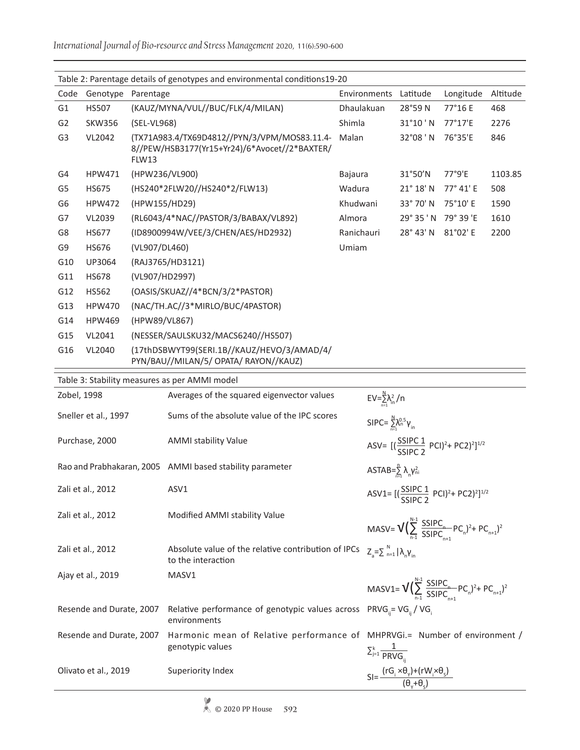|                | Table 2: Parentage details of genotypes and environmental conditions19-20 |                                                                                                        |                |                    |           |          |  |  |  |  |
|----------------|---------------------------------------------------------------------------|--------------------------------------------------------------------------------------------------------|----------------|--------------------|-----------|----------|--|--|--|--|
| Code           | Genotype                                                                  | Parentage                                                                                              | Environments   | Latitude           | Longitude | Altitude |  |  |  |  |
| G <sub>1</sub> | <b>HS507</b>                                                              | (KAUZ/MYNA/VUL//BUC/FLK/4/MILAN)                                                                       | Dhaulakuan     | 28°59N             | 77°16 E   | 468      |  |  |  |  |
| G <sub>2</sub> | <b>SKW356</b>                                                             | (SEL-VL968)                                                                                            | Shimla         | $31^{\circ}10$ 'N  | 77°17'E   | 2276     |  |  |  |  |
| G <sub>3</sub> | VL2042                                                                    | (TX71A983.4/TX69D4812//PYN/3/VPM/MOS83.11.4-<br>8//PEW/HSB3177(Yr15+Yr24)/6*Avocet//2*BAXTER/<br>FLW13 | Malan          | 32°08 'N           | 76°35'E   | 846      |  |  |  |  |
| G4             | <b>HPW471</b>                                                             | (HPW236/VL900)                                                                                         | <b>Bajaura</b> | 31°50'N            | 77°9'E    | 1103.85  |  |  |  |  |
| G5             | <b>HS675</b>                                                              | (HS240*2FLW20//HS240*2/FLW13)                                                                          | Wadura         | $21^{\circ} 18' N$ | 77° 41' E | 508      |  |  |  |  |
| G6             | <b>HPW472</b>                                                             | (HPW155/HD29)                                                                                          | Khudwani       | 33° 70' N          | 75°10' E  | 1590     |  |  |  |  |
| G7             | VL2039                                                                    | (RL6043/4*NAC//PASTOR/3/BABAX/VL892)                                                                   | Almora         | 29° 35 'N          | 79° 39 'E | 1610     |  |  |  |  |
| G8             | <b>HS677</b>                                                              | (ID8900994W/VEE/3/CHEN/AES/HD2932)                                                                     | Ranichauri     | 28° 43' N          | 81°02' E  | 2200     |  |  |  |  |
| G <sub>9</sub> | <b>HS676</b>                                                              | (VL907/DL460)                                                                                          | Umiam          |                    |           |          |  |  |  |  |
| G10            | UP3064                                                                    | (RAJ3765/HD3121)                                                                                       |                |                    |           |          |  |  |  |  |
| G11            | <b>HS678</b>                                                              | (VL907/HD2997)                                                                                         |                |                    |           |          |  |  |  |  |
| G12            | <b>HS562</b>                                                              | (OASIS/SKUAZ//4*BCN/3/2*PASTOR)                                                                        |                |                    |           |          |  |  |  |  |
| G13            | <b>HPW470</b>                                                             | (NAC/TH.AC//3*MIRLO/BUC/4PASTOR)                                                                       |                |                    |           |          |  |  |  |  |
| G14            | <b>HPW469</b>                                                             | (HPW89/VL867)                                                                                          |                |                    |           |          |  |  |  |  |
| G15            | VL2041                                                                    | (NESSER/SAULSKU32/MACS6240//HS507)                                                                     |                |                    |           |          |  |  |  |  |
| G16            | VL2040                                                                    | (17thDSBWYT99(SERI.1B//KAUZ/HEVO/3/AMAD/4/<br>PYN/BAU//MILAN/5/ OPATA/ RAYON//KAUZ)                    |                |                    |           |          |  |  |  |  |
|                | Table 3: Stability measures as ner AMMU model                             |                                                                                                        |                |                    |           |          |  |  |  |  |

| Table 3: Stability measures as per AMIMI model |                                                                           |                                                                                      |
|------------------------------------------------|---------------------------------------------------------------------------|--------------------------------------------------------------------------------------|
| Zobel, 1998                                    | Averages of the squared eigenvector values                                | $EV = \sum_{n=1}^{N} \lambda_n^2 / n$                                                |
| Sneller et al., 1997                           | Sums of the absolute value of the IPC scores                              | SIPC= $\sum_{n=1}^{N} \lambda_n^{0.5} \gamma_{in}$                                   |
| Purchase, 2000                                 | <b>AMMI stability Value</b>                                               | ASV= $[(\frac{SSIPC 1}{SSIPC 2} PCI)^2 + PC2)^2]^{1/2}$                              |
|                                                | Rao and Prabhakaran, 2005 AMMI based stability parameter                  | ASTAB= $\frac{n}{2}$ λ <sub>n</sub> γ <sub>ni</sub>                                  |
| Zali et al., 2012                              | ASV1                                                                      | ASV1= $[(\frac{SSIPC 1}{SSIPC 2} PCI)^2 + PC2)^2]^{1/2}$                             |
| Zali et al., 2012                              | Modified AMMI stability Value                                             | MASV= $V(\sum_{n=1}^{N-1} \frac{SSIPC_n}{SSIPC_{n+1}}PC_n)^2 + PC_{n+1})^2$          |
| Zali et al., 2012                              | Absolute value of the relative contribution of IPCs<br>to the interaction | $Z_{\rm a}=\sum_{\rm n=1}^{\rm N}  \lambda_{\rm n}Y_{\rm in} $                       |
| Ajay et al., 2019                              | MASV1                                                                     | MASV1= $V(\sum_{n=1}^{N-1} \frac{SSIPC_n}{SSIPC_n}PC_n)^2 + PC_{n+1})^2$             |
| Resende and Durate, 2007                       | Relative performance of genotypic values across<br>environments           | $PRVG_{ii} = VG_{ii} / VG_{i}$                                                       |
| Resende and Durate, 2007                       | Harmonic mean of Relative performance of<br>genotypic values              | MHPRVGi.= Number of environment /<br>$\sum_{j=1}^k \frac{1}{PRVG_{ii}}$              |
| Olivato et al., 2019                           | Superiority Index                                                         | $SI = \frac{(rG_i \times \theta_v) + (rW_i \times \theta_s)}{(\theta_v + \theta_e)}$ |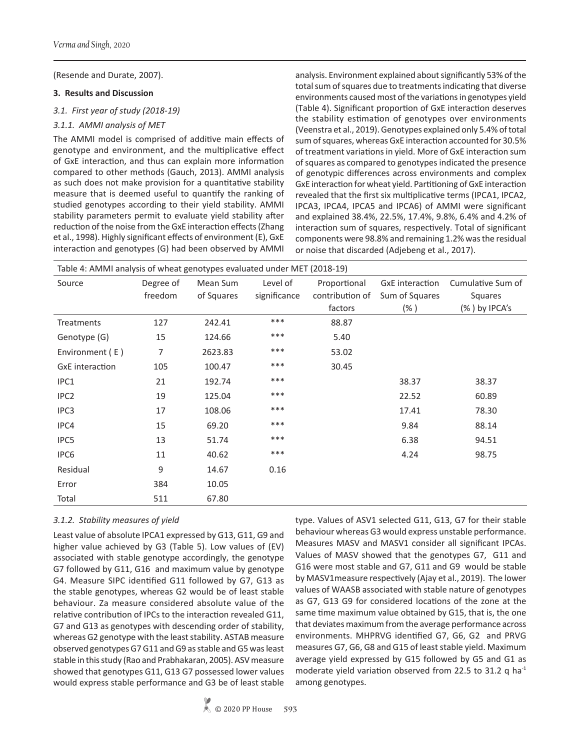(Resende and Durate, 2007).

### **3. Results and Discussion**

### *3.1. First year of study (2018-19)*

## *3.1.1. AMMI analysis of MET*

The AMMI model is comprised of additive main effects of genotype and environment, and the multiplicative effect of GxE interaction, and thus can explain more information compared to other methods (Gauch, 2013). AMMI analysis as such does not make provision for a quantitative stability measure that is deemed useful to quantify the ranking of studied genotypes according to their yield stability. AMMI stability parameters permit to evaluate yield stability after reduction of the noise from the GxE interaction effects (Zhang et al., 1998). Highly significant effects of environment (E), GxE interaction and genotypes (G) had been observed by AMMI

analysis. Environment explained about significantly 53% of the total sum of squares due to treatments indicating that diverse environments caused most of the variations in genotypes yield (Table 4). Significant proportion of GxE interaction deserves the stability estimation of genotypes over environments (Veenstra et al., 2019). Genotypes explained only 5.4% of total sum of squares, whereas GxE interaction accounted for 30.5% of treatment variations in yield. More of GxE interaction sum of squares as compared to genotypes indicated the presence of genotypic differences across environments and complex GxE interaction for wheat yield. Partitioning of GxE interaction revealed that the first six multiplicative terms (IPCA1, IPCA2, IPCA3, IPCA4, IPCA5 and IPCA6) of AMMI were significant and explained 38.4%, 22.5%, 17.4%, 9.8%, 6.4% and 4.2% of interaction sum of squares, respectively. Total of significant components were 98.8% and remaining 1.2% was the residual or noise that discarded (Adjebeng et al., 2017).

| Table 4: AMMI analysis of wheat genotypes evaluated under MET (2018-19) |                      |                        |                          |                                            |                                                     |                                               |  |  |  |  |  |
|-------------------------------------------------------------------------|----------------------|------------------------|--------------------------|--------------------------------------------|-----------------------------------------------------|-----------------------------------------------|--|--|--|--|--|
| Source                                                                  | Degree of<br>freedom | Mean Sum<br>of Squares | Level of<br>significance | Proportional<br>contribution of<br>factors | <b>GxE</b> interaction<br>Sum of Squares<br>$(\% )$ | Cumulative Sum of<br>Squares<br>(%) by IPCA's |  |  |  |  |  |
| Treatments                                                              | 127                  | 242.41                 | ***                      | 88.87                                      |                                                     |                                               |  |  |  |  |  |
| Genotype (G)                                                            | 15                   | 124.66                 | $***$                    | 5.40                                       |                                                     |                                               |  |  |  |  |  |
| Environment (E)                                                         | 7                    | 2623.83                | ***                      | 53.02                                      |                                                     |                                               |  |  |  |  |  |
| <b>GxE</b> interaction                                                  | 105                  | 100.47                 | ***                      | 30.45                                      |                                                     |                                               |  |  |  |  |  |
| IPC1                                                                    | 21                   | 192.74                 | ***                      |                                            | 38.37                                               | 38.37                                         |  |  |  |  |  |
| IPC <sub>2</sub>                                                        | 19                   | 125.04                 | ***                      |                                            | 22.52                                               | 60.89                                         |  |  |  |  |  |
| IPC <sub>3</sub>                                                        | 17                   | 108.06                 | ***                      |                                            | 17.41                                               | 78.30                                         |  |  |  |  |  |
| IPC4                                                                    | 15                   | 69.20                  | ***                      |                                            | 9.84                                                | 88.14                                         |  |  |  |  |  |
| IPC5                                                                    | 13                   | 51.74                  | ***                      |                                            | 6.38                                                | 94.51                                         |  |  |  |  |  |
| IPC <sub>6</sub>                                                        | 11                   | 40.62                  | ***                      |                                            | 4.24                                                | 98.75                                         |  |  |  |  |  |
| Residual                                                                | 9                    | 14.67                  | 0.16                     |                                            |                                                     |                                               |  |  |  |  |  |
| Error                                                                   | 384                  | 10.05                  |                          |                                            |                                                     |                                               |  |  |  |  |  |
| Total                                                                   | 511                  | 67.80                  |                          |                                            |                                                     |                                               |  |  |  |  |  |

## *3.1.2. Stability measures of yield*

Least value of absolute IPCA1 expressed by G13, G11, G9 and higher value achieved by G3 (Table 5). Low values of (EV) associated with stable genotype accordingly, the genotype G7 followed by G11, G16 and maximum value by genotype G4. Measure SIPC identified G11 followed by G7, G13 as the stable genotypes, whereas G2 would be of least stable behaviour. Za measure considered absolute value of the relative contribution of IPCs to the interaction revealed G11, G7 and G13 as genotypes with descending order of stability, whereas G2 genotype with the least stability. ASTAB measure observed genotypes G7 G11 and G9 as stable and G5 was least stable in this study (Rao and Prabhakaran, 2005). ASV measure showed that genotypes G11, G13 G7 possessed lower values would express stable performance and G3 be of least stable type. Values of ASV1 selected G11, G13, G7 for their stable behaviour whereas G3 would express unstable performance. Measures MASV and MASV1 consider all significant IPCAs. Values of MASV showed that the genotypes G7, G11 and G16 were most stable and G7, G11 and G9 would be stable by MASV1measure respectively (Ajay et al., 2019). The lower values of WAASB associated with stable nature of genotypes as G7, G13 G9 for considered locations of the zone at the same time maximum value obtained by G15, that is, the one that deviates maximum from the average performance across environments. MHPRVG identified G7, G6, G2 and PRVG measures G7, G6, G8 and G15 of least stable yield. Maximum average yield expressed by G15 followed by G5 and G1 as moderate yield variation observed from 22.5 to 31.2 q ha<sup>-1</sup> among genotypes.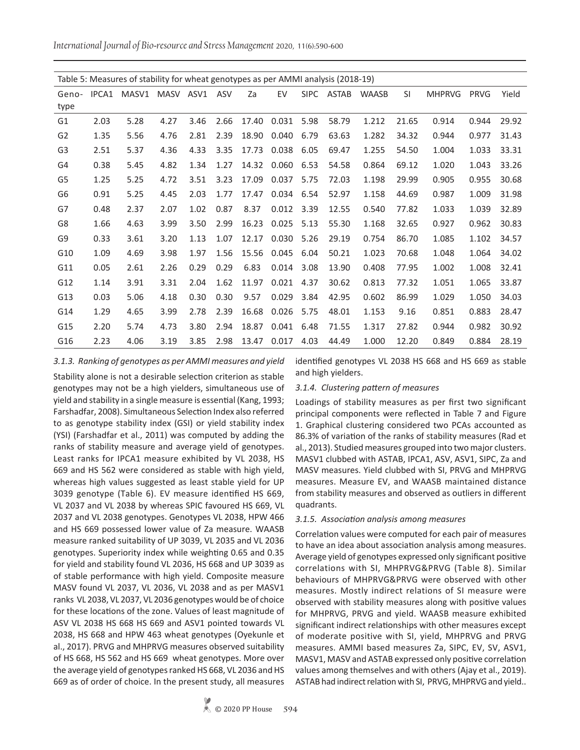*International Journal of Bio-resource and Stress Management* 2020, 11(6):590-600

| Table 5: Measures of stability for wheat genotypes as per AMMI analysis (2018-19) |       |       |           |      |      |       |       |             |       |              |       |               |             |       |
|-----------------------------------------------------------------------------------|-------|-------|-----------|------|------|-------|-------|-------------|-------|--------------|-------|---------------|-------------|-------|
|                                                                                   |       |       |           |      |      |       |       |             |       |              |       |               |             |       |
| Geno-<br>type                                                                     | IPCA1 | MASV1 | MASV ASV1 |      | ASV  | Za    | EV    | <b>SIPC</b> | ASTAB | <b>WAASB</b> | SI    | <b>MHPRVG</b> | <b>PRVG</b> | Yield |
| G <sub>1</sub>                                                                    | 2.03  | 5.28  | 4.27      | 3.46 | 2.66 | 17.40 | 0.031 | 5.98        | 58.79 | 1.212        | 21.65 | 0.914         | 0.944       | 29.92 |
| G <sub>2</sub>                                                                    | 1.35  | 5.56  | 4.76      | 2.81 | 2.39 | 18.90 | 0.040 | 6.79        | 63.63 | 1.282        | 34.32 | 0.944         | 0.977       | 31.43 |
| G <sub>3</sub>                                                                    | 2.51  | 5.37  | 4.36      | 4.33 | 3.35 | 17.73 | 0.038 | 6.05        | 69.47 | 1.255        | 54.50 | 1.004         | 1.033       | 33.31 |
| G4                                                                                | 0.38  | 5.45  | 4.82      | 1.34 | 1.27 | 14.32 | 0.060 | 6.53        | 54.58 | 0.864        | 69.12 | 1.020         | 1.043       | 33.26 |
| G5                                                                                | 1.25  | 5.25  | 4.72      | 3.51 | 3.23 | 17.09 | 0.037 | 5.75        | 72.03 | 1.198        | 29.99 | 0.905         | 0.955       | 30.68 |
| G6                                                                                | 0.91  | 5.25  | 4.45      | 2.03 | 1.77 | 17.47 | 0.034 | 6.54        | 52.97 | 1.158        | 44.69 | 0.987         | 1.009       | 31.98 |
| G7                                                                                | 0.48  | 2.37  | 2.07      | 1.02 | 0.87 | 8.37  | 0.012 | 3.39        | 12.55 | 0.540        | 77.82 | 1.033         | 1.039       | 32.89 |
| G8                                                                                | 1.66  | 4.63  | 3.99      | 3.50 | 2.99 | 16.23 | 0.025 | 5.13        | 55.30 | 1.168        | 32.65 | 0.927         | 0.962       | 30.83 |
| G9                                                                                | 0.33  | 3.61  | 3.20      | 1.13 | 1.07 | 12.17 | 0.030 | 5.26        | 29.19 | 0.754        | 86.70 | 1.085         | 1.102       | 34.57 |
| G10                                                                               | 1.09  | 4.69  | 3.98      | 1.97 | 1.56 | 15.56 | 0.045 | 6.04        | 50.21 | 1.023        | 70.68 | 1.048         | 1.064       | 34.02 |
| G11                                                                               | 0.05  | 2.61  | 2.26      | 0.29 | 0.29 | 6.83  | 0.014 | 3.08        | 13.90 | 0.408        | 77.95 | 1.002         | 1.008       | 32.41 |
| G12                                                                               | 1.14  | 3.91  | 3.31      | 2.04 | 1.62 | 11.97 | 0.021 | 4.37        | 30.62 | 0.813        | 77.32 | 1.051         | 1.065       | 33.87 |
| G13                                                                               | 0.03  | 5.06  | 4.18      | 0.30 | 0.30 | 9.57  | 0.029 | 3.84        | 42.95 | 0.602        | 86.99 | 1.029         | 1.050       | 34.03 |
| G14                                                                               | 1.29  | 4.65  | 3.99      | 2.78 | 2.39 | 16.68 | 0.026 | 5.75        | 48.01 | 1.153        | 9.16  | 0.851         | 0.883       | 28.47 |
| G15                                                                               | 2.20  | 5.74  | 4.73      | 3.80 | 2.94 | 18.87 | 0.041 | 6.48        | 71.55 | 1.317        | 27.82 | 0.944         | 0.982       | 30.92 |
| G16                                                                               | 2.23  | 4.06  | 3.19      | 3.85 | 2.98 | 13.47 | 0.017 | 4.03        | 44.49 | 1.000        | 12.20 | 0.849         | 0.884       | 28.19 |

#### *3.1.3. Ranking of genotypes as per AMMI measures and yield*

Stability alone is not a desirable selection criterion as stable genotypes may not be a high yielders, simultaneous use of yield and stability in a single measure is essential (Kang, 1993; Farshadfar, 2008). Simultaneous Selection Index also referred to as genotype stability index (GSI) or yield stability index (YSI) (Farshadfar et al., 2011) was computed by adding the ranks of stability measure and average yield of genotypes. Least ranks for IPCA1 measure exhibited by VL 2038, HS 669 and HS 562 were considered as stable with high yield, whereas high values suggested as least stable yield for UP 3039 genotype (Table 6). EV measure identified HS 669, VL 2037 and VL 2038 by whereas SPIC favoured HS 669, VL 2037 and VL 2038 genotypes. Genotypes VL 2038, HPW 466 and HS 669 possessed lower value of Za measure. WAASB measure ranked suitability of UP 3039, VL 2035 and VL 2036 genotypes. Superiority index while weighting 0.65 and 0.35 for yield and stability found VL 2036, HS 668 and UP 3039 as of stable performance with high yield. Composite measure MASV found VL 2037, VL 2036, VL 2038 and as per MASV1 ranks VL 2038, VL 2037, VL 2036 genotypes would be of choice for these locations of the zone. Values of least magnitude of ASV VL 2038 HS 668 HS 669 and ASV1 pointed towards VL 2038, HS 668 and HPW 463 wheat genotypes (Oyekunle et al., 2017). PRVG and MHPRVG measures observed suitability of HS 668, HS 562 and HS 669 wheat genotypes. More over the average yield of genotypes ranked HS 668, VL 2036 and HS 669 as of order of choice. In the present study, all measures

identified genotypes VL 2038 HS 668 and HS 669 as stable and high yielders.

#### *3.1.4. Clustering pattern of measures*

Loadings of stability measures as per first two significant principal components were reflected in Table 7 and Figure 1. Graphical clustering considered two PCAs accounted as 86.3% of variation of the ranks of stability measures (Rad et al., 2013). Studied measures grouped into two major clusters. MASV1 clubbed with ASTAB, IPCA1, ASV, ASV1, SIPC, Za and MASV measures. Yield clubbed with SI, PRVG and MHPRVG measures. Measure EV, and WAASB maintained distance from stability measures and observed as outliers in different quadrants.

## *3.1.5. Association analysis among measures*

Correlation values were computed for each pair of measures to have an idea about association analysis among measures. Average yield of genotypes expressed only significant positive correlations with SI, MHPRVG&PRVG (Table 8). Similar behaviours of MHPRVG&PRVG were observed with other measures. Mostly indirect relations of SI measure were observed with stability measures along with positive values for MHPRVG, PRVG and yield. WAASB measure exhibited significant indirect relationships with other measures except of moderate positive with SI, yield, MHPRVG and PRVG measures. AMMI based measures Za, SIPC, EV, SV, ASV1, MASV1, MASV and ASTAB expressed only positive correlation values among themselves and with others (Ajay et al., 2019). ASTAB had indirect relation with SI, PRVG, MHPRVG and yield..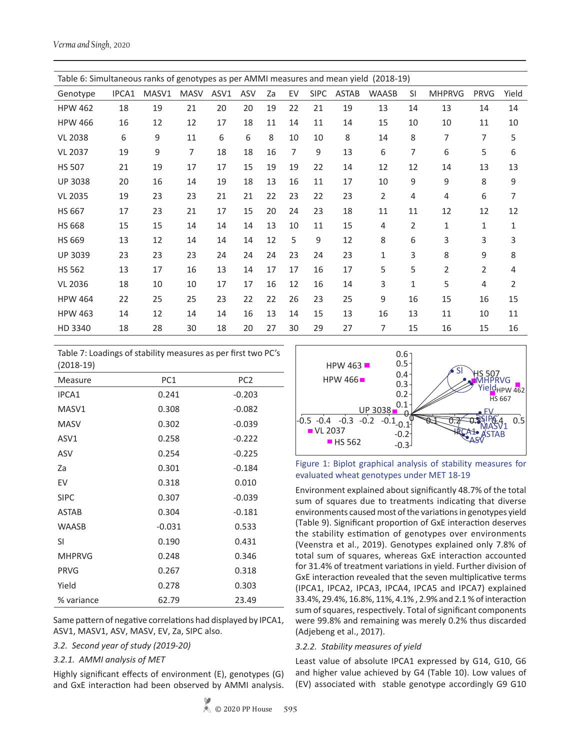| Table 6: Simultaneous ranks of genotypes as per AMMI measures and mean yield<br>$(2018-19)$ |       |       |             |      |     |    |    |             |              |                |    |               |              |                |
|---------------------------------------------------------------------------------------------|-------|-------|-------------|------|-----|----|----|-------------|--------------|----------------|----|---------------|--------------|----------------|
| Genotype                                                                                    | IPCA1 | MASV1 | <b>MASV</b> | ASV1 | ASV | Za | EV | <b>SIPC</b> | <b>ASTAB</b> | <b>WAASB</b>   | SI | <b>MHPRVG</b> | PRVG         | Yield          |
| <b>HPW 462</b>                                                                              | 18    | 19    | 21          | 20   | 20  | 19 | 22 | 21          | 19           | 13             | 14 | 13            | 14           | 14             |
| <b>HPW 466</b>                                                                              | 16    | 12    | 12          | 17   | 18  | 11 | 14 | 11          | 14           | 15             | 10 | 10            | 11           | 10             |
| <b>VL 2038</b>                                                                              | 6     | 9     | 11          | 6    | 6   | 8  | 10 | 10          | 8            | 14             | 8  | 7             | 7            | 5              |
| <b>VL 2037</b>                                                                              | 19    | 9     | 7           | 18   | 18  | 16 | 7  | 9           | 13           | 6              | 7  | 6             | 5            | 6              |
| <b>HS 507</b>                                                                               | 21    | 19    | 17          | 17   | 15  | 19 | 19 | 22          | 14           | 12             | 12 | 14            | 13           | 13             |
| <b>UP 3038</b>                                                                              | 20    | 16    | 14          | 19   | 18  | 13 | 16 | 11          | 17           | 10             | 9  | 9             | 8            | 9              |
| <b>VL 2035</b>                                                                              | 19    | 23    | 23          | 21   | 21  | 22 | 23 | 22          | 23           | $\overline{2}$ | 4  | 4             | 6            | 7              |
| <b>HS 667</b>                                                                               | 17    | 23    | 21          | 17   | 15  | 20 | 24 | 23          | 18           | 11             | 11 | 12            | 12           | 12             |
| <b>HS 668</b>                                                                               | 15    | 15    | 14          | 14   | 14  | 13 | 10 | 11          | 15           | 4              | 2  | 1             | $\mathbf{1}$ | $\mathbf{1}$   |
| <b>HS 669</b>                                                                               | 13    | 12    | 14          | 14   | 14  | 12 | 5  | 9           | 12           | 8              | 6  | 3             | 3            | 3              |
| <b>UP 3039</b>                                                                              | 23    | 23    | 23          | 24   | 24  | 24 | 23 | 24          | 23           | 1              | 3  | 8             | 9            | 8              |
| <b>HS 562</b>                                                                               | 13    | 17    | 16          | 13   | 14  | 17 | 17 | 16          | 17           | 5              | 5  | 2             | 2            | 4              |
| <b>VL 2036</b>                                                                              | 18    | 10    | 10          | 17   | 17  | 16 | 12 | 16          | 14           | 3              | 1  | 5             | 4            | $\overline{2}$ |
| <b>HPW 464</b>                                                                              | 22    | 25    | 25          | 23   | 22  | 22 | 26 | 23          | 25           | 9              | 16 | 15            | 16           | 15             |
| <b>HPW 463</b>                                                                              | 14    | 12    | 14          | 14   | 16  | 13 | 14 | 15          | 13           | 16             | 13 | 11            | 10           | 11             |
| HD 3340                                                                                     | 18    | 28    | 30          | 18   | 20  | 27 | 30 | 29          | 27           | 7              | 15 | 16            | 15           | 16             |

| Table 7: Loadings of stability measures as per first two PC's |  |
|---------------------------------------------------------------|--|
| $(2018-19)$                                                   |  |

| 12010-131     |          |                 |
|---------------|----------|-----------------|
| Measure       | PC1      | PC <sub>2</sub> |
| IPCA1         | 0.241    | $-0.203$        |
| MASV1         | 0.308    | $-0.082$        |
| <b>MASV</b>   | 0.302    | $-0.039$        |
| ASV1          | 0.258    | $-0.222$        |
| ASV           | 0.254    | $-0.225$        |
| Za            | 0.301    | $-0.184$        |
| EV            | 0.318    | 0.010           |
| <b>SIPC</b>   | 0.307    | $-0.039$        |
| <b>ASTAB</b>  | 0.304    | $-0.181$        |
| <b>WAASB</b>  | $-0.031$ | 0.533           |
| SI            | 0.190    | 0.431           |
| <b>MHPRVG</b> | 0.248    | 0.346           |
| <b>PRVG</b>   | 0.267    | 0.318           |
| Yield         | 0.278    | 0.303           |
| % variance    | 62.79    | 23.49           |

Same pattern of negative correlations had displayed by IPCA1, ASV1, MASV1, ASV, MASV, EV, Za, SIPC also.

*3.2. Second year of study (2019-20)*

*3.2.1. AMMI analysis of MET*

Highly significant effects of environment (E), genotypes (G) and GxE interaction had been observed by AMMI analysis.





Environment explained about significantly 48.7% of the total sum of squares due to treatments indicating that diverse environments caused most of the variations in genotypes yield (Table 9). Significant proportion of GxE interaction deserves the stability estimation of genotypes over environments (Veenstra et al., 2019). Genotypes explained only 7.8% of total sum of squares, whereas GxE interaction accounted for 31.4% of treatment variations in yield. Further division of GxE interaction revealed that the seven multiplicative terms (IPCA1, IPCA2, IPCA3, IPCA4, IPCA5 and IPCA7) explained 33.4%, 29.4%, 16.8%, 11%, 4.1% , 2.9% and 2.1 % of interaction sum of squares, respectively. Total of significant components were 99.8% and remaining was merely 0.2% thus discarded (Adjebeng et al., 2017).

## *3.2.2. Stability measures of yield*

Least value of absolute IPCA1 expressed by G14, G10, G6 and higher value achieved by G4 (Table 10). Low values of (EV) associated with stable genotype accordingly G9 G10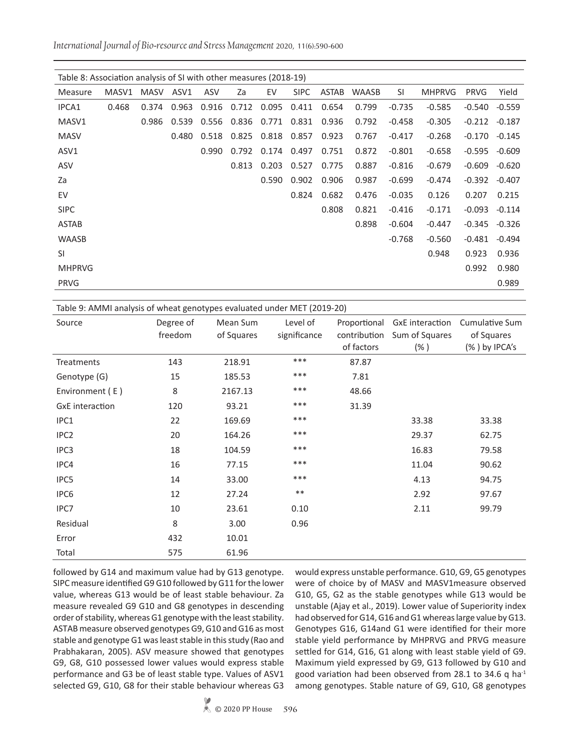*International Journal of Bio-resource and Stress Management* 2020, 11(6):590-600

| Table 8: Association analysis of SI with other measures (2018-19) |       |             |       |                   |       |       |             |              |              |          |               |             |          |
|-------------------------------------------------------------------|-------|-------------|-------|-------------------|-------|-------|-------------|--------------|--------------|----------|---------------|-------------|----------|
| Measure                                                           | MASV1 | <b>MASV</b> | ASV1  | ASV               | Za    | EV    | <b>SIPC</b> | <b>ASTAB</b> | <b>WAASB</b> | SI.      | <b>MHPRVG</b> | <b>PRVG</b> | Yield    |
| IPCA1                                                             | 0.468 | 0.374       | 0.963 | 0.916             | 0.712 | 0.095 | 0.411       | 0.654        | 0.799        | $-0.735$ | $-0.585$      | $-0.540$    | $-0.559$ |
| MASV1                                                             |       | 0.986       |       | 0.539 0.556 0.836 |       | 0.771 | 0.831       | 0.936        | 0.792        | $-0.458$ | $-0.305$      | $-0.212$    | $-0.187$ |
| <b>MASV</b>                                                       |       |             | 0.480 | 0.518             | 0.825 | 0.818 | 0.857       | 0.923        | 0.767        | $-0.417$ | $-0.268$      | $-0.170$    | $-0.145$ |
| ASV1                                                              |       |             |       | 0.990             | 0.792 | 0.174 | 0.497       | 0.751        | 0.872        | $-0.801$ | $-0.658$      | $-0.595$    | $-0.609$ |
| ASV                                                               |       |             |       |                   | 0.813 | 0.203 | 0.527       | 0.775        | 0.887        | $-0.816$ | $-0.679$      | $-0.609$    | $-0.620$ |
| Za                                                                |       |             |       |                   |       | 0.590 | 0.902       | 0.906        | 0.987        | $-0.699$ | $-0.474$      | $-0.392$    | $-0.407$ |
| EV                                                                |       |             |       |                   |       |       | 0.824       | 0.682        | 0.476        | $-0.035$ | 0.126         | 0.207       | 0.215    |
| <b>SIPC</b>                                                       |       |             |       |                   |       |       |             | 0.808        | 0.821        | $-0.416$ | $-0.171$      | $-0.093$    | $-0.114$ |
| <b>ASTAB</b>                                                      |       |             |       |                   |       |       |             |              | 0.898        | $-0.604$ | $-0.447$      | $-0.345$    | $-0.326$ |
| <b>WAASB</b>                                                      |       |             |       |                   |       |       |             |              |              | $-0.768$ | $-0.560$      | $-0.481$    | $-0.494$ |
| <b>SI</b>                                                         |       |             |       |                   |       |       |             |              |              |          | 0.948         | 0.923       | 0.936    |
| <b>MHPRVG</b>                                                     |       |             |       |                   |       |       |             |              |              |          |               | 0.992       | 0.980    |
| <b>PRVG</b>                                                       |       |             |       |                   |       |       |             |              |              |          |               |             | 0.989    |
|                                                                   |       |             |       |                   |       |       |             |              |              |          |               |             |          |

Table 9: AMMI analysis of wheat genotypes evaluated under MET (2019-20) Source Degree of freedom Mean Sum of Squares Level of significance Proportional contribution of factors GxE interaction Sum of Squares (% ) Cumulative Sum of Squares (% ) by IPCA's Treatments 143 218.91 \*\*\* 87.87 Genotype (G) 15 185.53 \*\*\* 7.81 Environment (E) 8 2167.13 \*\*\* 48.66 GxE interaction 120 93.21 \*\*\* 31.39 IPC1 22 169.69 \*\*\* 33.38 33.38 IPC2 20 164.26 \*\*\* 29.37 62.75 IPC3 18 104.59 \*\*\* 16.83 79.58 IPC4 16 77.15 \*\*\* 11.04 90.62 IPC5 14 33.00 \*\*\* 4.13 94.75 IPC6 12 27.24 \*\* 2.92 97.67 IPC7 10 23.61 0.10 2.11 99.79 Residual 8 3.00 0.96 Error 432 10.01

followed by G14 and maximum value had by G13 genotype. SIPC measure identified G9 G10 followed by G11 for the lower value, whereas G13 would be of least stable behaviour. Za measure revealed G9 G10 and G8 genotypes in descending order of stability, whereas G1 genotype with the least stability. ASTAB measure observed genotypes G9, G10 and G16 as most stable and genotype G1 was least stable in this study (Rao and Prabhakaran, 2005). ASV measure showed that genotypes G9, G8, G10 possessed lower values would express stable performance and G3 be of least stable type. Values of ASV1 selected G9, G10, G8 for their stable behaviour whereas G3

Total 575 61.96

would express unstable performance. G10, G9, G5 genotypes were of choice by of MASV and MASV1measure observed G10, G5, G2 as the stable genotypes while G13 would be unstable (Ajay et al., 2019). Lower value of Superiority index had observed for G14, G16 and G1 whereas large value by G13. Genotypes G16, G14and G1 were identified for their more stable yield performance by MHPRVG and PRVG measure settled for G14, G16, G1 along with least stable yield of G9. Maximum yield expressed by G9, G13 followed by G10 and good variation had been observed from 28.1 to 34.6 q ha<sup>-1</sup> among genotypes. Stable nature of G9, G10, G8 genotypes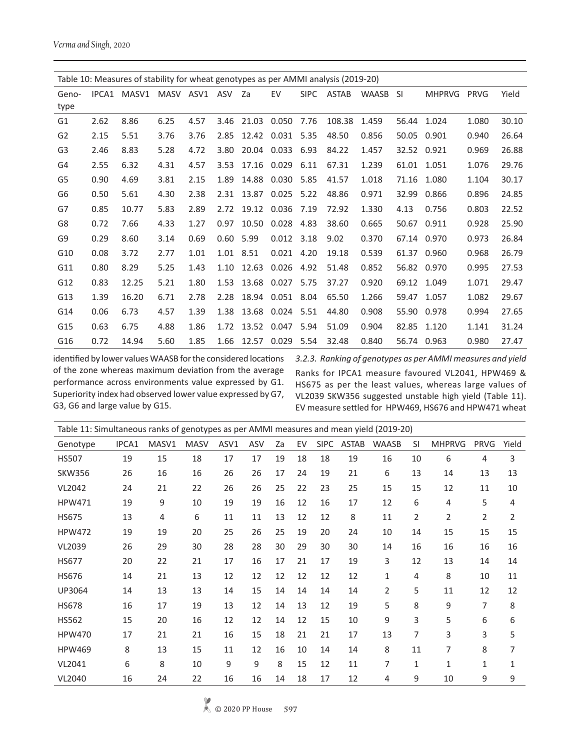*Verma and Singh*, 2020

|                |       | Table 10: Measures of stability for wheat genotypes as per AMMI analysis (2019-20) |      |               |      |       |       |             |              |              |       |               |             |       |
|----------------|-------|------------------------------------------------------------------------------------|------|---------------|------|-------|-------|-------------|--------------|--------------|-------|---------------|-------------|-------|
| Geno-          | IPCA1 | MASV1                                                                              |      | MASV ASV1 ASV |      | Za    | EV    | <b>SIPC</b> | <b>ASTAB</b> | <b>WAASB</b> | -SI   | <b>MHPRVG</b> | <b>PRVG</b> | Yield |
| type           |       |                                                                                    |      |               |      |       |       |             |              |              |       |               |             |       |
| G1             | 2.62  | 8.86                                                                               | 6.25 | 4.57          | 3.46 | 21.03 | 0.050 | 7.76        | 108.38       | 1.459        | 56.44 | 1.024         | 1.080       | 30.10 |
| G <sub>2</sub> | 2.15  | 5.51                                                                               | 3.76 | 3.76          | 2.85 | 12.42 | 0.031 | 5.35        | 48.50        | 0.856        | 50.05 | 0.901         | 0.940       | 26.64 |
| G <sub>3</sub> | 2.46  | 8.83                                                                               | 5.28 | 4.72          | 3.80 | 20.04 | 0.033 | 6.93        | 84.22        | 1.457        | 32.52 | 0.921         | 0.969       | 26.88 |
| G4             | 2.55  | 6.32                                                                               | 4.31 | 4.57          | 3.53 | 17.16 | 0.029 | 6.11        | 67.31        | 1.239        | 61.01 | 1.051         | 1.076       | 29.76 |
| G5             | 0.90  | 4.69                                                                               | 3.81 | 2.15          | 1.89 | 14.88 | 0.030 | 5.85        | 41.57        | 1.018        | 71.16 | 1.080         | 1.104       | 30.17 |
| G <sub>6</sub> | 0.50  | 5.61                                                                               | 4.30 | 2.38          | 2.31 | 13.87 | 0.025 | 5.22        | 48.86        | 0.971        | 32.99 | 0.866         | 0.896       | 24.85 |
| G7             | 0.85  | 10.77                                                                              | 5.83 | 2.89          | 2.72 | 19.12 | 0.036 | 7.19        | 72.92        | 1.330        | 4.13  | 0.756         | 0.803       | 22.52 |
| G8             | 0.72  | 7.66                                                                               | 4.33 | 1.27          | 0.97 | 10.50 | 0.028 | 4.83        | 38.60        | 0.665        | 50.67 | 0.911         | 0.928       | 25.90 |
| G9             | 0.29  | 8.60                                                                               | 3.14 | 0.69          | 0.60 | 5.99  | 0.012 | 3.18        | 9.02         | 0.370        |       | 67.14 0.970   | 0.973       | 26.84 |
| G10            | 0.08  | 3.72                                                                               | 2.77 | 1.01          | 1.01 | 8.51  | 0.021 | 4.20        | 19.18        | 0.539        | 61.37 | 0.960         | 0.968       | 26.79 |
| G11            | 0.80  | 8.29                                                                               | 5.25 | 1.43          | 1.10 | 12.63 | 0.026 | 4.92        | 51.48        | 0.852        | 56.82 | 0.970         | 0.995       | 27.53 |
| G12            | 0.83  | 12.25                                                                              | 5.21 | 1.80          | 1.53 | 13.68 | 0.027 | 5.75        | 37.27        | 0.920        | 69.12 | 1.049         | 1.071       | 29.47 |
| G13            | 1.39  | 16.20                                                                              | 6.71 | 2.78          | 2.28 | 18.94 | 0.051 | 8.04        | 65.50        | 1.266        | 59.47 | 1.057         | 1.082       | 29.67 |
| G14            | 0.06  | 6.73                                                                               | 4.57 | 1.39          | 1.38 | 13.68 | 0.024 | 5.51        | 44.80        | 0.908        | 55.90 | 0.978         | 0.994       | 27.65 |
| G15            | 0.63  | 6.75                                                                               | 4.88 | 1.86          | 1.72 | 13.52 | 0.047 | 5.94        | 51.09        | 0.904        | 82.85 | 1.120         | 1.141       | 31.24 |
| G16            | 0.72  | 14.94                                                                              | 5.60 | 1.85          | 1.66 | 12.57 | 0.029 | 5.54        | 32.48        | 0.840        |       | 56.74 0.963   | 0.980       | 27.47 |

identified by lower values WAASB for the considered locations of the zone whereas maximum deviation from the average performance across environments value expressed by G1. Superiority index had observed lower value expressed by G7, G3, G6 and large value by G15.

*3.2.3. Ranking of genotypes as per AMMI measures and yield* Ranks for IPCA1 measure favoured VL2041, HPW469 & HS675 as per the least values, whereas large values of VL2039 SKW356 suggested unstable high yield (Table 11). EV measure settled for HPW469, HS676 and HPW471 wheat

| Table 11: Simultaneous ranks of genotypes as per AMMI measures and mean yield (2019-20) |       |       |             |      |     |    |    |             |              |              |                |                |             |                |
|-----------------------------------------------------------------------------------------|-------|-------|-------------|------|-----|----|----|-------------|--------------|--------------|----------------|----------------|-------------|----------------|
| Genotype                                                                                | IPCA1 | MASV1 | <b>MASV</b> | ASV1 | ASV | Za | EV | <b>SIPC</b> | <b>ASTAB</b> | <b>WAASB</b> | <b>SI</b>      | <b>MHPRVG</b>  | <b>PRVG</b> | Yield          |
| <b>HS507</b>                                                                            | 19    | 15    | 18          | 17   | 17  | 19 | 18 | 18          | 19           | 16           | 10             | 6              | 4           | 3              |
| <b>SKW356</b>                                                                           | 26    | 16    | 16          | 26   | 26  | 17 | 24 | 19          | 21           | 6            | 13             | 14             | 13          | 13             |
| <b>VL2042</b>                                                                           | 24    | 21    | 22          | 26   | 26  | 25 | 22 | 23          | 25           | 15           | 15             | 12             | 11          | 10             |
| <b>HPW471</b>                                                                           | 19    | 9     | 10          | 19   | 19  | 16 | 12 | 16          | 17           | 12           | 6              | 4              | 5           | 4              |
| <b>HS675</b>                                                                            | 13    | 4     | 6           | 11   | 11  | 13 | 12 | 12          | 8            | 11           | $\overline{2}$ | $\overline{2}$ | 2           | $\overline{2}$ |
| <b>HPW472</b>                                                                           | 19    | 19    | 20          | 25   | 26  | 25 | 19 | 20          | 24           | 10           | 14             | 15             | 15          | 15             |
| VL2039                                                                                  | 26    | 29    | 30          | 28   | 28  | 30 | 29 | 30          | 30           | 14           | 16             | 16             | 16          | 16             |
| <b>HS677</b>                                                                            | 20    | 22    | 21          | 17   | 16  | 17 | 21 | 17          | 19           | 3            | 12             | 13             | 14          | 14             |
| <b>HS676</b>                                                                            | 14    | 21    | 13          | 12   | 12  | 12 | 12 | 12          | 12           | 1            | 4              | 8              | 10          | 11             |
| UP3064                                                                                  | 14    | 13    | 13          | 14   | 15  | 14 | 14 | 14          | 14           | 2            | 5              | 11             | 12          | 12             |
| <b>HS678</b>                                                                            | 16    | 17    | 19          | 13   | 12  | 14 | 13 | 12          | 19           | 5            | 8              | 9              | 7           | 8              |
| <b>HS562</b>                                                                            | 15    | 20    | 16          | 12   | 12  | 14 | 12 | 15          | 10           | 9            | 3              | 5              | 6           | 6              |
| <b>HPW470</b>                                                                           | 17    | 21    | 21          | 16   | 15  | 18 | 21 | 21          | 17           | 13           | 7              | 3              | 3           | 5              |
| <b>HPW469</b>                                                                           | 8     | 13    | 15          | 11   | 12  | 16 | 10 | 14          | 14           | 8            | 11             | 7              | 8           | 7              |
| VL2041                                                                                  | 6     | 8     | 10          | 9    | 9   | 8  | 15 | 12          | 11           | 7            | $\mathbf{1}$   | 1              | 1           | 1              |
| <b>VL2040</b>                                                                           | 16    | 24    | 22          | 16   | 16  | 14 | 18 | 17          | 12           | 4            | 9              | 10             | 9           | 9              |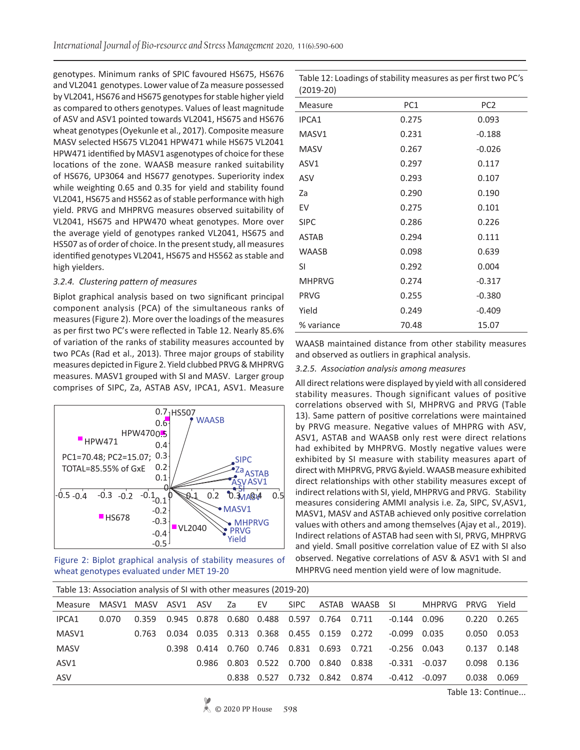genotypes. Minimum ranks of SPIC favoured HS675, HS676 and VL2041 genotypes. Lower value of Za measure possessed by VL2041, HS676 and HS675 genotypes for stable higher yield as compared to others genotypes. Values of least magnitude of ASV and ASV1 pointed towards VL2041, HS675 and HS676 wheat genotypes (Oyekunle et al., 2017). Composite measure MASV selected HS675 VL2041 HPW471 while HS675 VL2041 HPW471 identified by MASV1 asgenotypes of choice for these locations of the zone. WAASB measure ranked suitability of HS676, UP3064 and HS677 genotypes. Superiority index while weighting 0.65 and 0.35 for yield and stability found VL2041, HS675 and HS562 as of stable performance with high yield. PRVG and MHPRVG measures observed suitability of VL2041, HS675 and HPW470 wheat genotypes. More over the average yield of genotypes ranked VL2041, HS675 and HS507 as of order of choice. In the present study, all measures identified genotypes VL2041, HS675 and HS562 as stable and high yielders.

#### *3.2.4. Clustering pattern of measures*

Biplot graphical analysis based on two significant principal component analysis (PCA) of the simultaneous ranks of measures (Figure 2). More over the loadings of the measures as per first two PC's were reflected in Table 12. Nearly 85.6% of variation of the ranks of stability measures accounted by two PCAs (Rad et al., 2013). Three major groups of stability measures depicted in Figure 2. Yield clubbed PRVG & MHPRVG measures. MASV1 grouped with SI and MASV. Larger group comprises of SIPC, Za, ASTAB ASV, IPCA1, ASV1. Measure



Figure 2: Biplot graphical analysis of stability measures of wheat genotypes evaluated under MET 19-20

| $(2019-20)$   |       |                 |
|---------------|-------|-----------------|
| Measure       | PC1   | PC <sub>2</sub> |
| IPCA1         | 0.275 | 0.093           |
| MASV1         | 0.231 | $-0.188$        |
| <b>MASV</b>   | 0.267 | $-0.026$        |
| ASV1          | 0.297 | 0.117           |
| ASV           | 0.293 | 0.107           |
| Za            | 0.290 | 0.190           |
| EV            | 0.275 | 0.101           |
| <b>SIPC</b>   | 0.286 | 0.226           |
| ASTAB         | 0.294 | 0.111           |
| <b>WAASB</b>  | 0.098 | 0.639           |
| SI            | 0.292 | 0.004           |
| <b>MHPRVG</b> | 0.274 | $-0.317$        |
| <b>PRVG</b>   | 0.255 | $-0.380$        |
| Yield         | 0.249 | $-0.409$        |
| % variance    | 70.48 | 15.07           |

Table 12: Loadings of stability measures as per first two PC's

WAASB maintained distance from other stability measures and observed as outliers in graphical analysis.

#### *3.2.5. Association analysis among measures*

All direct relations were displayed by yield with all considered stability measures. Though significant values of positive correlations observed with SI, MHPRVG and PRVG (Table 13). Same pattern of positive correlations were maintained by PRVG measure. Negative values of MHPRG with ASV, ASV1, ASTAB and WAASB only rest were direct relations had exhibited by MHPRVG. Mostly negative values were exhibited by SI measure with stability measures apart of direct with MHPRVG, PRVG &yield. WAASB measure exhibited direct relationships with other stability measures except of indirect relations with SI, yield, MHPRVG and PRVG. Stability measures considering AMMI analysis i.e. Za, SIPC, SV,ASV1, MASV1, MASV and ASTAB achieved only positive correlation values with others and among themselves (Ajay et al., 2019). Indirect relations of ASTAB had seen with SI, PRVG, MHPRVG and yield. Small positive correlation value of EZ with SI also observed. Negative correlations of ASV & ASV1 with SI and MHPRVG need mention yield were of low magnitude.

| Table 13: Association analysis of SI with other measures (2019-20) |       |       |       |             |             |       |             |       |          |          |          |       |       |
|--------------------------------------------------------------------|-------|-------|-------|-------------|-------------|-------|-------------|-------|----------|----------|----------|-------|-------|
| Measure                                                            | MASV1 | MASV  | ASV1  | ASV         | za z        | EV    | SIPC.       | ASTAB | WAASB SI |          | MHPRVG   | PRVG  | Yield |
| IPCA1                                                              | 0.070 | 0.359 |       | 0.945 0.878 | 0.680       | 0.488 | 0.597       | 0.764 | 0.711    | -0.144   | 0.096    | 0.220 | 0.265 |
| MASV1                                                              |       | 0.763 | 0.034 | 0.035       | 0.313 0.368 |       | 0.455 0.159 |       | 0.272    | -0.099   | 0.035    | 0.050 | 0.053 |
| <b>MASV</b>                                                        |       |       | 0.398 | 0.414       | 0.760       | 0.746 | 0.831       | 0.693 | 0.721    | $-0.256$ | 0.043    | 0.137 | 0.148 |
| ASV1                                                               |       |       |       | 0.986       | 0.803       | 0.522 | 0.700       | 0.840 | 0.838    | $-0.331$ | $-0.037$ | 0.098 | 0.136 |
| ASV                                                                |       |       |       |             | 0.838       | 0.527 | 0.732       | 0.842 | 0.874    | $-0.412$ | $-0.097$ | 0.038 | 0.069 |

Table 13: Continue...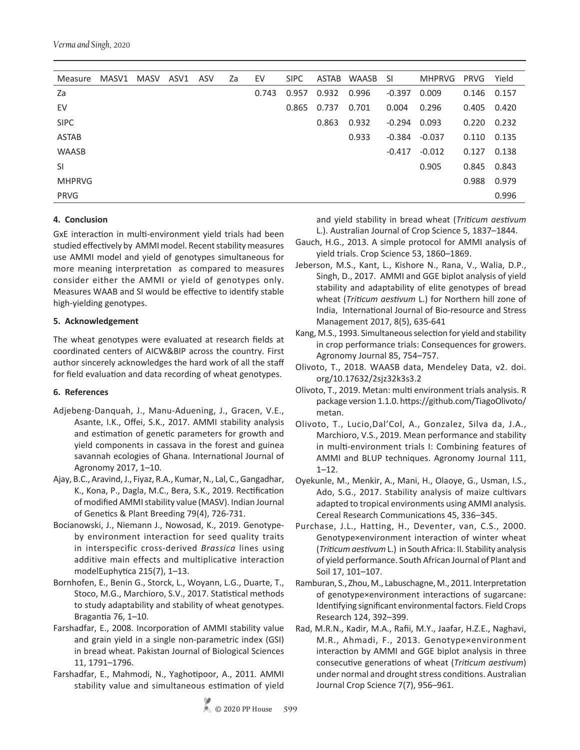*Verma and Singh*, 2020

| Measure       | MASV1 | MASV | ASV1 | ASV | Za | EV    | <b>SIPC</b> | ASTAB | WAASB SI |          | <b>MHPRVG</b> | <b>PRVG</b> | Yield |
|---------------|-------|------|------|-----|----|-------|-------------|-------|----------|----------|---------------|-------------|-------|
| Za            |       |      |      |     |    | 0.743 | 0.957       | 0.932 | 0.996    | $-0.397$ | 0.009         | 0.146       | 0.157 |
| EV            |       |      |      |     |    |       | 0.865       | 0.737 | 0.701    | 0.004    | 0.296         | 0.405       | 0.420 |
| <b>SIPC</b>   |       |      |      |     |    |       |             | 0.863 | 0.932    | $-0.294$ | 0.093         | 0.220       | 0.232 |
| <b>ASTAB</b>  |       |      |      |     |    |       |             |       | 0.933    | $-0.384$ | $-0.037$      | 0.110       | 0.135 |
| <b>WAASB</b>  |       |      |      |     |    |       |             |       |          | $-0.417$ | $-0.012$      | 0.127       | 0.138 |
| SI            |       |      |      |     |    |       |             |       |          |          | 0.905         | 0.845       | 0.843 |
| <b>MHPRVG</b> |       |      |      |     |    |       |             |       |          |          |               | 0.988       | 0.979 |
| <b>PRVG</b>   |       |      |      |     |    |       |             |       |          |          |               |             | 0.996 |
|               |       |      |      |     |    |       |             |       |          |          |               |             |       |

## **4. Conclusion**

GxE interaction in multi-environment yield trials had been studied effectively by AMMI model. Recent stability measures use AMMI model and yield of genotypes simultaneous for more meaning interpretation as compared to measures consider either the AMMI or yield of genotypes only. Measures WAAB and SI would be effective to identify stable high-yielding genotypes.

## **5. Acknowledgement**

The wheat genotypes were evaluated at research fields at coordinated centers of AICW&BIP across the country. First author sincerely acknowledges the hard work of all the staff for field evaluation and data recording of wheat genotypes.

## **6. References**

- Adjebeng-Danquah, J., Manu-Aduening, J., Gracen, V.E., Asante, I.K., Offei, S.K., 2017. AMMI stability analysis and estimation of genetic parameters for growth and yield components in cassava in the forest and guinea savannah ecologies of Ghana. International Journal of Agronomy 2017, 1–10.
- Ajay, B.C., Aravind, J., Fiyaz, R.A., Kumar, N., Lal, C., Gangadhar, K., Kona, P., Dagla, M.C., Bera, S.K., 2019. Rectification of modified AMMI stability value (MASV). Indian Journal of Genetics & Plant Breeding 79(4), 726-731.
- Bocianowski, J., Niemann J., Nowosad, K., 2019. Genotypeby environment interaction for seed quality traits in interspecific cross-derived *Brassica* lines using additive main effects and multiplicative interaction modelEuphytica 215(7), 1–13.
- Bornhofen, E., Benin G., Storck, L., Woyann, L.G., Duarte, T., Stoco, M.G., Marchioro, S.V., 2017. Statistical methods to study adaptability and stability of wheat genotypes. Bragantia 76, 1–10.
- Farshadfar, E., 2008. Incorporation of AMMI stability value and grain yield in a single non-parametric index (GSI) in bread wheat. Pakistan Journal of Biological Sciences 11, 1791–1796.
- Farshadfar, E., Mahmodi, N., Yaghotipoor, A., 2011. AMMI stability value and simultaneous estimation of yield

and yield stability in bread wheat (*Triticum aestivum*  L.). Australian Journal of Crop Science 5, 1837–1844.

- Gauch, H.G., 2013. A simple protocol for AMMI analysis of yield trials. Crop Science 53, 1860–1869.
- Jeberson, M.S., Kant, L., Kishore N., Rana, V., Walia, D.P., Singh, D., 2017. AMMI and GGE biplot analysis of yield stability and adaptability of elite genotypes of bread wheat (*Triticum aestivum* L.) for Northern hill zone of India, International Journal of Bio-resource and Stress Management 2017, 8(5), 635-641
- Kang, M.S., 1993. Simultaneous selection for yield and stability in crop performance trials: Consequences for growers. Agronomy Journal 85, 754–757.
- Olivoto, T., 2018. WAASB data, Mendeley Data, v2. doi. org/10.17632/2sjz32k3s3.2
- Olivoto, T., 2019. Metan: multi environment trials analysis. R package version 1.1.0. https://github.com/TiagoOlivoto/ metan.
- Olivoto, T., Lucio,Dal'Col, A., Gonzalez, Silva da, J.A., Marchioro, V.S., 2019. Mean performance and stability in multi-environment trials I: Combining features of AMMI and BLUP techniques. Agronomy Journal 111, 1–12.
- Oyekunle, M., Menkir, A., Mani, H., Olaoye, G., Usman, I.S., Ado, S.G., 2017. Stability analysis of maize cultivars adapted to tropical environments using AMMI analysis. Cereal Research Communications 45, 336–345.
- Purchase, J.L., Hatting, H., Deventer, van, C.S., 2000. Genotype×environment interaction of winter wheat (*Triticum aestivum* L.) in South Africa: II. Stability analysis of yield performance. South African Journal of Plant and Soil 17, 101–107.
- Ramburan, S., Zhou, M., Labuschagne, M., 2011. Interpretation of genotype×environment interactions of sugarcane: Identifying significant environmental factors. Field Crops Research 124, 392–399.
- Rad, M.R.N., Kadir, M.A., Rafii, M.Y., Jaafar, H.Z.E., Naghavi, M.R., Ahmadi, F., 2013. Genotype×environment interaction by AMMI and GGE biplot analysis in three consecutive generations of wheat (*Triticum aestivum*) under normal and drought stress conditions. Australian Journal Crop Science 7(7), 956–961.